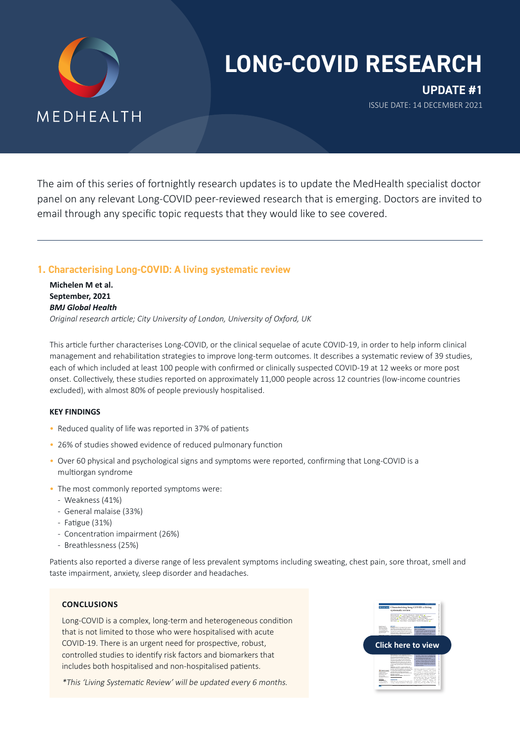

# **LONG-COVID RESEARCH**

**UPDATE #1** ISSUE DATE: 14 DECEMBER 2021

The aim of this series of fortnightly research updates is to update the MedHealth specialist doctor panel on any relevant Long-COVID peer-reviewed research that is emerging. Doctors are invited to email through any specific topic requests that they would like to see covered.

## **1. Characterising Long-COVID: A living systematic review**

**Michelen M et al. September, 2021** *BMJ Global Health Original research article; City University of London, University of Oxford, UK* 

This article further characterises Long-COVID, or the clinical sequelae of acute COVID-19, in order to help inform clinical management and rehabilitation strategies to improve long-term outcomes. It describes a systematic review of 39 studies, each of which included at least 100 people with confirmed or clinically suspected COVID-19 at 12 weeks or more post onset. Collectively, these studies reported on approximately 11,000 people across 12 countries (low-income countries excluded), with almost 80% of people previously hospitalised.

## **KEY FINDINGS**

- Reduced quality of life was reported in 37% of patients
- 26% of studies showed evidence of reduced pulmonary function
- Over 60 physical and psychological signs and symptoms were reported, confirming that Long-COVID is a multiorgan syndrome
- The most commonly reported symptoms were:
	- Weakness (41%)
	- General malaise (33%)
	- Fatigue (31%)
	- Concentration impairment (26%)
	- Breathlessness (25%)

Patients also reported a diverse range of less prevalent symptoms including sweating, chest pain, sore throat, smell and taste impairment, anxiety, sleep disorder and headaches.

## **CONCLUSIONS**

Long-COVID is a complex, long-term and heterogeneous condition that is not limited to those who were hospitalised with acute COVID-19. There is an urgent need for prospective, robust, controlled studies to identify risk factors and biomarkers that includes both hospitalised and non-hospitalised patients.

\*This 'Living Systematic Review' will be updated every 6 months.

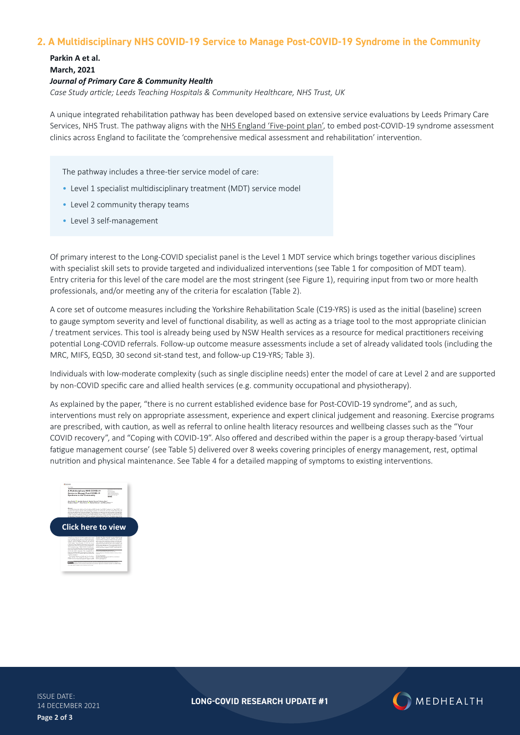## **2. A Multidisciplinary NHS COVID-19 Service to Manage Post-COVID-19 Syndrome in the Community**

**Parkin A et al. March, 2021** *Journal of Primary Care & Community Health Case Study article; Leeds Teaching Hospitals & Community Healthcare, NHS Trust, UK*

A unique integrated rehabilitation pathway has been developed based on extensive service evaluations by Leeds Primary Care Services, NHS Trust. The pathway aligns with the [NHS England 'Five-point plan'](https://www.england.nhs.uk/coronavirus/wp-content/uploads/sites/52/2021/06/C1312-long-covid-plan-june-2021.pdf), to embed post-COVID-19 syndrome assessment clinics across England to facilitate the 'comprehensive medical assessment and rehabilitation' intervention.

The pathway includes a three-tier service model of care:

- Level 1 specialist multidisciplinary treatment (MDT) service model
- Level 2 community therapy teams
- Level 3 self-management

Of primary interest to the Long-COVID specialist panel is the Level 1 MDT service which brings together various disciplines with specialist skill sets to provide targeted and individualized interventions (see Table 1 for composition of MDT team). Entry criteria for this level of the care model are the most stringent (see Figure 1), requiring input from two or more health professionals, and/or meeting any of the criteria for escalation (Table 2).

A core set of outcome measures including the Yorkshire Rehabilitation Scale (C19-YRS) is used as the initial (baseline) screen to gauge symptom severity and level of functional disability, as well as acting as a triage tool to the most appropriate clinician / treatment services. This tool is already being used by [NSW Health services](https://www.health.nsw.gov.au/Infectious/covid-19/communities-of-practice/Pages/guide-multidisciplinary-rehab.aspx) as a resource for medical practitioners receiving potential Long-COVID referrals. Follow-up outcome measure assessments include a set of already validated tools (including the MRC, MIFS, EQ5D, 30 second sit-stand test, and follow-up C19-YRS; Table 3).

Individuals with low-moderate complexity (such as single discipline needs) enter the model of care at Level 2 and are supported by non-COVID specific care and allied health services (e.g. community occupational and physiotherapy).

As explained by the paper, "there is no current established evidence base for Post-COVID-19 syndrome", and as such, interventions must rely on appropriate assessment, experience and expert clinical judgement and reasoning. Exercise programs are prescribed, with caution, as well as referral to online health literacy resources and wellbeing classes such as the ["Your](https://www.yourcovidrecovery.nhs.uk/what-is-covid-19/long-covid/)  [COVID recovery"](https://www.yourcovidrecovery.nhs.uk/what-is-covid-19/long-covid/), and "[Coping with COVID-19"](https://www.leedscommunityhealthcare.nhs.uk/our-services-a-z/leeds-mental-wellbeing-service/online-group-classes/psychological-wellbeing-when-living-with-a-cardiac-or-respiratory-health-conditions/). Also offered and described within the paper is a group therapy-based 'virtual fatigue management course' (see Table 5) delivered over 8 weeks covering principles of energy management, rest, optimal nutrition and physical maintenance. See Table 4 for a detailed mapping of symptoms to existing interventions.



ISSUE DATE: 14 DECEMBER 2021 **Page 2 of 3**

**LONG-COVID RESEARCH UPDATE #1**